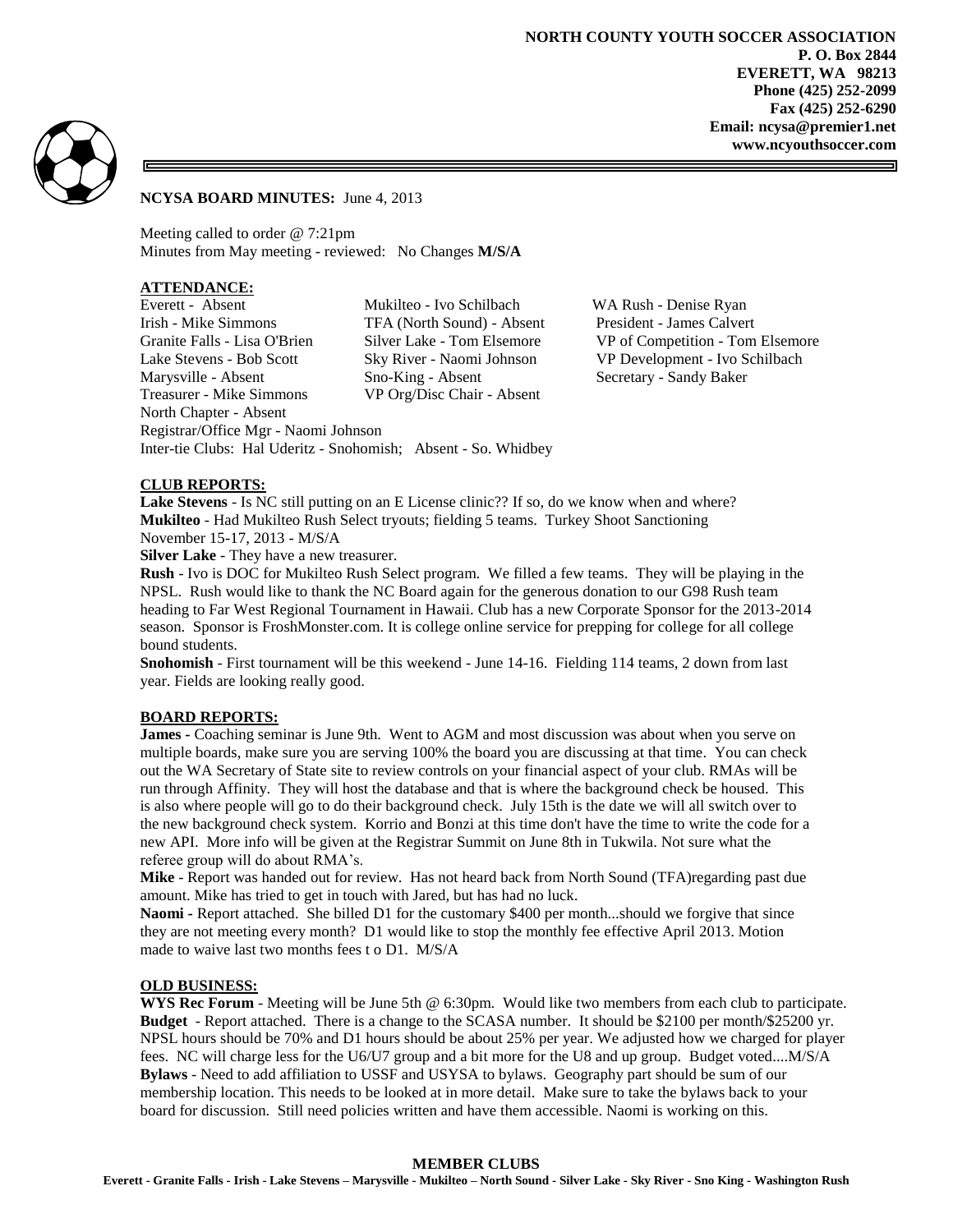

### **NCYSA BOARD MINUTES:** June 4, 2013

Meeting called to order @ 7:21pm Minutes from May meeting - reviewed: No Changes **M/S/A**

# **ATTENDANCE:**

Everett - Absent Mukilteo - Ivo Schilbach WA Rush - Denise Ryan Irish - Mike Simmons TFA (North Sound) - Absent President - James Calvert Granite Falls - Lisa O'Brien Silver Lake - Tom Elsemore VP of Competition - Tom Elsemore Lake Stevens - Bob Scott Sky River - Naomi Johnson VP Development - Ivo Schilbach Marysville - Absent Sno-King - Absent Secretary - Sandy Baker Treasurer - Mike Simmons VP Org/Disc Chair - Absent North Chapter - Absent Registrar/Office Mgr - Naomi Johnson Inter-tie Clubs: Hal Uderitz - Snohomish; Absent - So. Whidbey

## **CLUB REPORTS:**

**Lake Stevens** - Is NC still putting on an E License clinic?? If so, do we know when and where? **Mukilteo** - Had Mukilteo Rush Select tryouts; fielding 5 teams. Turkey Shoot Sanctioning November 15-17, 2013 - M/S/A

**Silver Lake** - They have a new treasurer.

**Rush** - Ivo is DOC for Mukilteo Rush Select program. We filled a few teams. They will be playing in the NPSL. Rush would like to thank the NC Board again for the generous donation to our G98 Rush team heading to Far West Regional Tournament in Hawaii. Club has a new Corporate Sponsor for the 2013-2014 season. Sponsor is FroshMonster.com. It is college online service for prepping for college for all college bound students.

**Snohomish** - First tournament will be this weekend - June 14-16. Fielding 114 teams, 2 down from last year. Fields are looking really good.

### **BOARD REPORTS:**

**James -** Coaching seminar is June 9th. Went to AGM and most discussion was about when you serve on multiple boards, make sure you are serving 100% the board you are discussing at that time. You can check out the WA Secretary of State site to review controls on your financial aspect of your club. RMAs will be run through Affinity. They will host the database and that is where the background check be housed. This is also where people will go to do their background check. July 15th is the date we will all switch over to the new background check system. Korrio and Bonzi at this time don't have the time to write the code for a new API. More info will be given at the Registrar Summit on June 8th in Tukwila. Not sure what the referee group will do about RMA's.

**Mike** - Report was handed out for review. Has not heard back from North Sound (TFA)regarding past due amount. Mike has tried to get in touch with Jared, but has had no luck.

**Naomi -** Report attached. She billed D1 for the customary \$400 per month...should we forgive that since they are not meeting every month? D1 would like to stop the monthly fee effective April 2013. Motion made to waive last two months fees t o D1. M/S/A

#### **OLD BUSINESS:**

**WYS Rec Forum** - Meeting will be June 5th @ 6:30pm. Would like two members from each club to participate. **Budget** - Report attached. There is a change to the SCASA number. It should be \$2100 per month/\$25200 yr. NPSL hours should be 70% and D1 hours should be about 25% per year. We adjusted how we charged for player fees. NC will charge less for the U6/U7 group and a bit more for the U8 and up group. Budget voted....M/S/A **Bylaws** - Need to add affiliation to USSF and USYSA to bylaws. Geography part should be sum of our membership location. This needs to be looked at in more detail. Make sure to take the bylaws back to your board for discussion. Still need policies written and have them accessible. Naomi is working on this.

#### **MEMBER CLUBS**